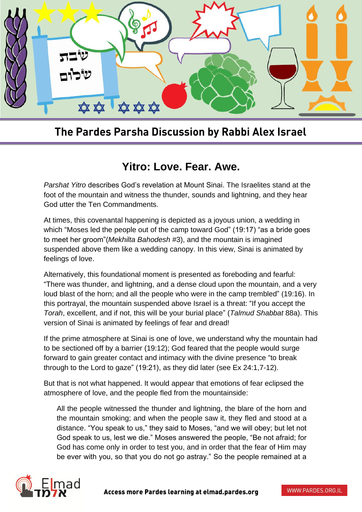

## The Pardes Parsha Discussion by Rabbi Alex Israel

## **Yitro: Love. Fear. Awe.**

*Parshat Yitro* describes God's revelation at Mount Sinai. The Israelites stand at the foot of the mountain and witness the thunder, sounds and lightning, and they hear God utter the Ten Commandments.

At times, this covenantal happening is depicted as a joyous union, a wedding in which "Moses led the people out of the camp toward God" (19:17) "as a bride goes to meet her groom"(*Mekhilta Bahodesh* #3), and the mountain is imagined suspended above them like a wedding canopy. In this view, Sinai is animated by feelings of love.

Alternatively, this foundational moment is presented as foreboding and fearful: "There was thunder, and lightning, and a dense cloud upon the mountain, and a very loud blast of the horn; and all the people who were in the camp trembled" (19:16). In this portrayal, the mountain suspended above Israel is a threat: "If you accept the *Torah*, excellent, and if not, this will be your burial place" (*Talmud Shabbat* 88a). This version of Sinai is animated by feelings of fear and dread!

If the prime atmosphere at Sinai is one of love, we understand why the mountain had to be sectioned off by a barrier (19:12); God feared that the people would surge forward to gain greater contact and intimacy with the divine presence "to break through to the Lord to gaze" (19:21), as they did later (see Ex 24:1,7-12).

But that is not what happened. It would appear that emotions of fear eclipsed the atmosphere of love, and the people fled from the mountainside:

All the people witnessed the thunder and lightning, the blare of the horn and the mountain smoking; and when the people saw it, they fled and stood at a distance. "You speak to us," they said to Moses, "and we will obey; but let not God speak to us, lest we die." Moses answered the people, "Be not afraid; for God has come only in order to test you, and in order that the fear of Him may be ever with you, so that you do not go astray." So the people remained at a

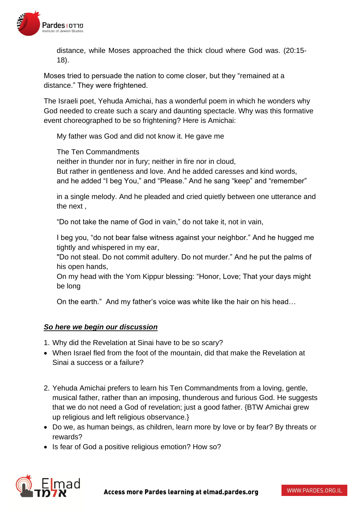

distance, while Moses approached the thick cloud where God was. (20:15- 18).

Moses tried to persuade the nation to come closer, but they "remained at a distance." They were frightened.

The Israeli poet, Yehuda Amichai, has a wonderful poem in which he wonders why God needed to create such a scary and daunting spectacle. Why was this formative event choreographed to be so frightening? Here is Amichai:

My father was God and did not know it. He gave me

The Ten Commandments

neither in thunder nor in fury; neither in fire nor in cloud, But rather in gentleness and love. And he added caresses and kind words, and he added "I beg You," and "Please." And he sang "keep" and "remember"

in a single melody. And he pleaded and cried quietly between one utterance and the next ,

"Do not take the name of God in vain," do not take it, not in vain,

I beg you, "do not bear false witness against your neighbor." And he hugged me tightly and whispered in my ear,

"Do not steal. Do not commit adultery. Do not murder." And he put the palms of his open hands,

On my head with the Yom Kippur blessing: "Honor, Love; That your days might be long

On the earth." And my father's voice was white like the hair on his head…

## *So here we begin our discussion*

- 1. Why did the Revelation at Sinai have to be so scary?
- When Israel fled from the foot of the mountain, did that make the Revelation at Sinai a success or a failure?
- 2. Yehuda Amichai prefers to learn his Ten Commandments from a loving, gentle, musical father, rather than an imposing, thunderous and furious God. He suggests that we do not need a God of revelation; just a good father. {BTW Amichai grew up religious and left religious observance.}
- Do we, as human beings, as children, learn more by love or by fear? By threats or rewards?
- Is fear of God a positive religious emotion? How so?